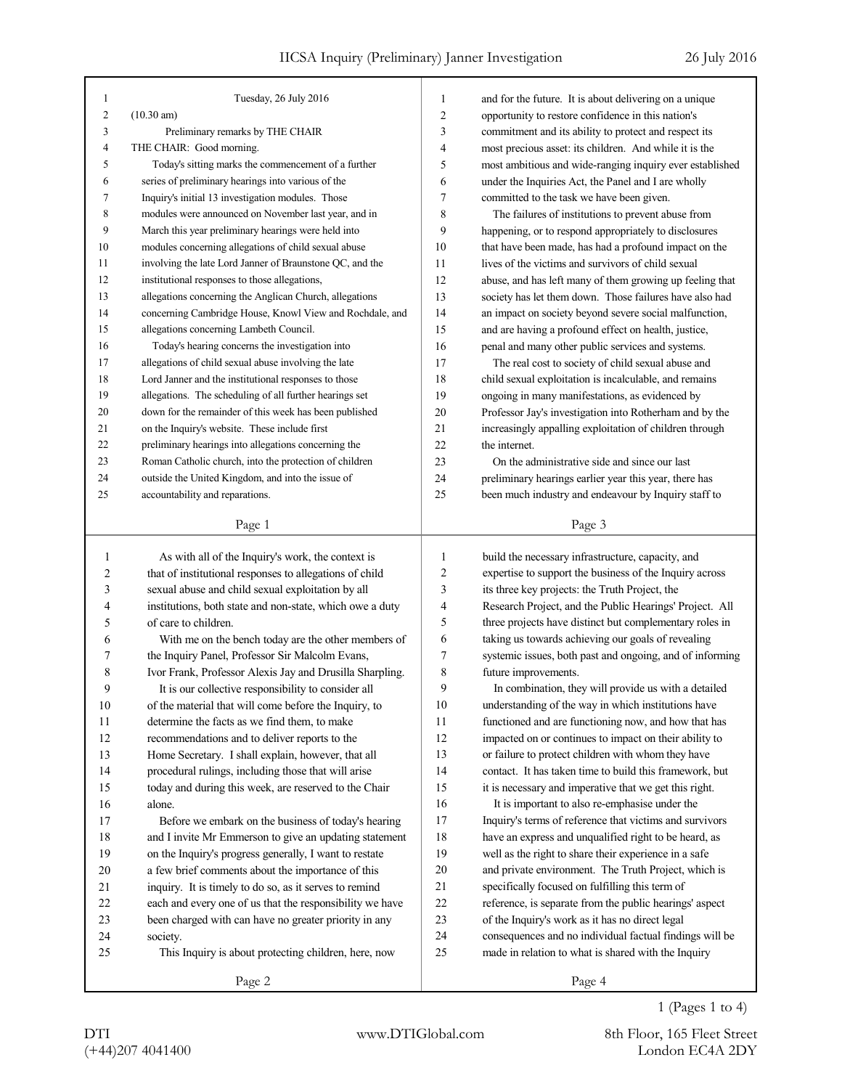| 1              | Tuesday, 26 July 2016                                    | 1              | and for the future. It is about delivering on a unique   |
|----------------|----------------------------------------------------------|----------------|----------------------------------------------------------|
| $\overline{c}$ | $(10.30 \text{ am})$                                     | 2              | opportunity to restore confidence in this nation's       |
| 3              | Preliminary remarks by THE CHAIR                         | 3              | commitment and its ability to protect and respect its    |
| $\overline{4}$ | THE CHAIR: Good morning.                                 | 4              | most precious asset: its children. And while it is the   |
| 5              | Today's sitting marks the commencement of a further      | 5              | most ambitious and wide-ranging inquiry ever established |
| 6              | series of preliminary hearings into various of the       | 6              | under the Inquiries Act, the Panel and I are wholly      |
| 7              | Inquiry's initial 13 investigation modules. Those        | 7              | committed to the task we have been given.                |
| $\,$ 8 $\,$    | modules were announced on November last year, and in     | 8              | The failures of institutions to prevent abuse from       |
| 9              | March this year preliminary hearings were held into      | 9              | happening, or to respond appropriately to disclosures    |
| 10             | modules concerning allegations of child sexual abuse     | 10             | that have been made, has had a profound impact on the    |
| 11             | involving the late Lord Janner of Braunstone QC, and the | 11             | lives of the victims and survivors of child sexual       |
| 12             | institutional responses to those allegations,            | 12             | abuse, and has left many of them growing up feeling that |
| 13             | allegations concerning the Anglican Church, allegations  | 13             | society has let them down. Those failures have also had  |
| 14             | concerning Cambridge House, Knowl View and Rochdale, and | 14             | an impact on society beyond severe social malfunction,   |
| 15             | allegations concerning Lambeth Council.                  | 15             | and are having a profound effect on health, justice,     |
| 16             | Today's hearing concerns the investigation into          | 16             | penal and many other public services and systems.        |
| 17             | allegations of child sexual abuse involving the late     | 17             | The real cost to society of child sexual abuse and       |
| 18             | Lord Janner and the institutional responses to those     | 18             | child sexual exploitation is incalculable, and remains   |
| 19             | allegations. The scheduling of all further hearings set  | 19             | ongoing in many manifestations, as evidenced by          |
| 20             | down for the remainder of this week has been published   | 20             | Professor Jay's investigation into Rotherham and by the  |
| 21             | on the Inquiry's website. These include first            | 21             | increasingly appalling exploitation of children through  |
| 22             | preliminary hearings into allegations concerning the     | 22             | the internet.                                            |
| 23             | Roman Catholic church, into the protection of children   | 23             | On the administrative side and since our last            |
| 24             | outside the United Kingdom, and into the issue of        | 24             | preliminary hearings earlier year this year, there has   |
| 25             | accountability and reparations.                          | 25             | been much industry and endeavour by Inquiry staff to     |
|                |                                                          |                |                                                          |
|                | Page 1                                                   |                | Page 3                                                   |
|                |                                                          |                |                                                          |
|                |                                                          |                |                                                          |
| 1              | As with all of the Inquiry's work, the context is        | 1              | build the necessary infrastructure, capacity, and        |
| 2              | that of institutional responses to allegations of child  | $\overline{c}$ | expertise to support the business of the Inquiry across  |
| 3              | sexual abuse and child sexual exploitation by all        | 3              | its three key projects: the Truth Project, the           |
| 4              | institutions, both state and non-state, which owe a duty | 4              | Research Project, and the Public Hearings' Project. All  |
| 5              | of care to children.                                     | 5              | three projects have distinct but complementary roles in  |
| 6              | With me on the bench today are the other members of      | 6              | taking us towards achieving our goals of revealing       |
| 7              | the Inquiry Panel, Professor Sir Malcolm Evans,          | 7              | systemic issues, both past and ongoing, and of informing |
| 8              | Ivor Frank, Professor Alexis Jay and Drusilla Sharpling. | 8              | future improvements.                                     |
| 9              | It is our collective responsibility to consider all      | 9              | In combination, they will provide us with a detailed     |
| 10             | of the material that will come before the Inquiry, to    | $10\,$         | understanding of the way in which institutions have      |
| 11             | determine the facts as we find them, to make             | 11             | functioned and are functioning now, and how that has     |
| 12             | recommendations and to deliver reports to the            | 12             | impacted on or continues to impact on their ability to   |
| 13             | Home Secretary. I shall explain, however, that all       | 13             | or failure to protect children with whom they have       |
| 14             | procedural rulings, including those that will arise      | 14             | contact. It has taken time to build this framework, but  |
| 15             | today and during this week, are reserved to the Chair    | 15             | it is necessary and imperative that we get this right.   |
| 16             | alone.                                                   | 16             | It is important to also re-emphasise under the           |
| 17             | Before we embark on the business of today's hearing      | 17             | Inquiry's terms of reference that victims and survivors  |
| 18             | and I invite Mr Emmerson to give an updating statement   | 18             | have an express and unqualified right to be heard, as    |
| 19             | on the Inquiry's progress generally, I want to restate   | 19             | well as the right to share their experience in a safe    |
| 20             | a few brief comments about the importance of this        | 20             | and private environment. The Truth Project, which is     |
| 21             | inquiry. It is timely to do so, as it serves to remind   | 21             | specifically focused on fulfilling this term of          |
| 22             | each and every one of us that the responsibility we have | 22             | reference, is separate from the public hearings' aspect  |
| 23             | been charged with can have no greater priority in any    | 23             | of the Inquiry's work as it has no direct legal          |
| 24             | society.                                                 | 24             | consequences and no individual factual findings will be  |
| 25             | This Inquiry is about protecting children, here, now     | 25             | made in relation to what is shared with the Inquiry      |
|                | Page 2                                                   |                | Page 4                                                   |

1 (Pages 1 to 4)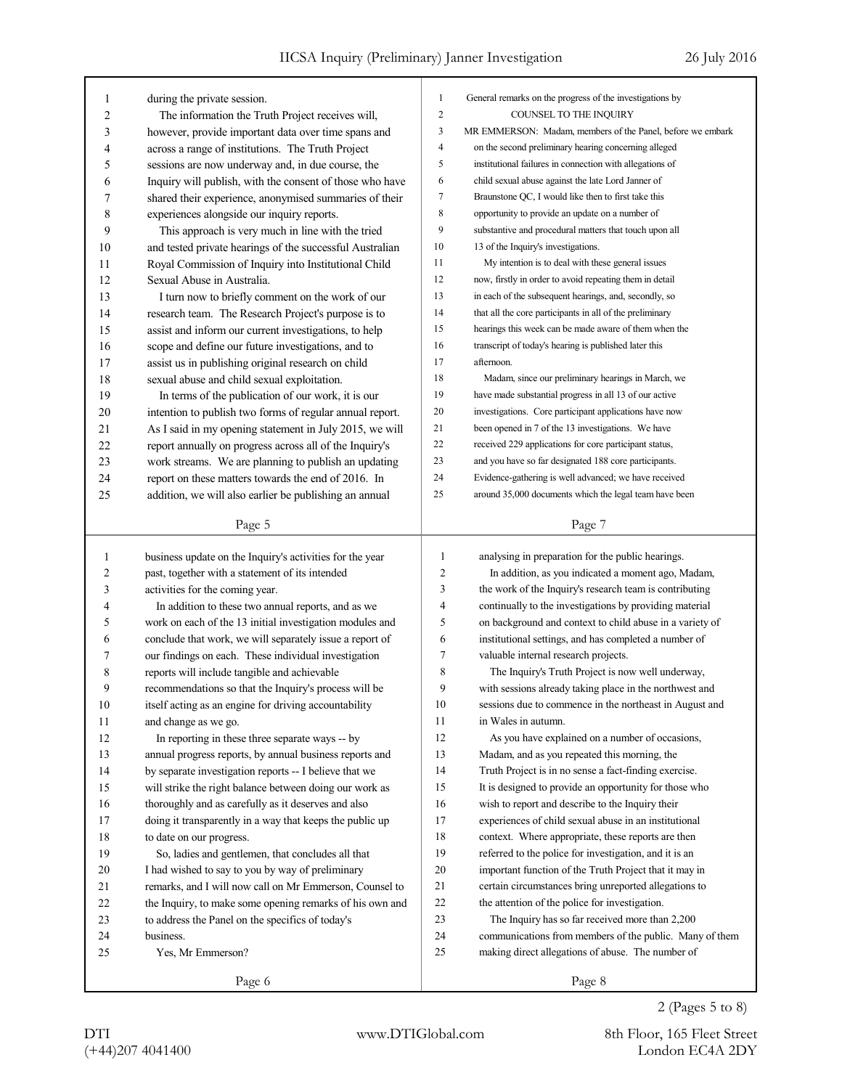| 1  | during the private session.                              | 1              | General remarks on the progress of the investigations by   |
|----|----------------------------------------------------------|----------------|------------------------------------------------------------|
| 2  | The information the Truth Project receives will,         | $\overline{c}$ | COUNSEL TO THE INQUIRY                                     |
| 3  | however, provide important data over time spans and      | 3              | MR EMMERSON: Madam, members of the Panel, before we embark |
| 4  | across a range of institutions. The Truth Project        | 4              | on the second preliminary hearing concerning alleged       |
| 5  | sessions are now underway and, in due course, the        | 5              | institutional failures in connection with allegations of   |
| 6  | Inquiry will publish, with the consent of those who have | 6              | child sexual abuse against the late Lord Janner of         |
| 7  | shared their experience, anonymised summaries of their   | 7              | Braunstone QC, I would like then to first take this        |
| 8  | experiences alongside our inquiry reports.               | $\,$ 8 $\,$    | opportunity to provide an update on a number of            |
| 9  | This approach is very much in line with the tried        | 9              | substantive and procedural matters that touch upon all     |
| 10 | and tested private hearings of the successful Australian | 10             | 13 of the Inquiry's investigations.                        |
| 11 | Royal Commission of Inquiry into Institutional Child     | 11             | My intention is to deal with these general issues          |
| 12 | Sexual Abuse in Australia.                               | 12             | now, firstly in order to avoid repeating them in detail    |
| 13 | I turn now to briefly comment on the work of our         | 13             | in each of the subsequent hearings, and, secondly, so      |
| 14 | research team. The Research Project's purpose is to      | 14             | that all the core participants in all of the preliminary   |
| 15 | assist and inform our current investigations, to help    | 15             | hearings this week can be made aware of them when the      |
| 16 | scope and define our future investigations, and to       | 16             | transcript of today's hearing is published later this      |
| 17 | assist us in publishing original research on child       | 17             | afternoon.                                                 |
| 18 | sexual abuse and child sexual exploitation.              | 18             | Madam, since our preliminary hearings in March, we         |
| 19 | In terms of the publication of our work, it is our       | 19             | have made substantial progress in all 13 of our active     |
| 20 | intention to publish two forms of regular annual report. | 20             | investigations. Core participant applications have now     |
| 21 | As I said in my opening statement in July 2015, we will  | 21             | been opened in 7 of the 13 investigations. We have         |
| 22 | report annually on progress across all of the Inquiry's  | 22             | received 229 applications for core participant status,     |
| 23 | work streams. We are planning to publish an updating     | 23             | and you have so far designated 188 core participants.      |
| 24 | report on these matters towards the end of 2016. In      | 24             | Evidence-gathering is well advanced; we have received      |
| 25 | addition, we will also earlier be publishing an annual   | 25             | around 35,000 documents which the legal team have been     |
|    |                                                          |                |                                                            |
|    | Page 5                                                   |                | Page 7                                                     |
| 1  | business update on the Inquiry's activities for the year | 1              | analysing in preparation for the public hearings.          |
|    |                                                          |                |                                                            |
|    |                                                          |                |                                                            |
| 2  | past, together with a statement of its intended          | 2              | In addition, as you indicated a moment ago, Madam,         |
| 3  | activities for the coming year.                          | 3              | the work of the Inquiry's research team is contributing    |
| 4  | In addition to these two annual reports, and as we       | 4              | continually to the investigations by providing material    |
| 5  | work on each of the 13 initial investigation modules and | 5              | on background and context to child abuse in a variety of   |
| 6  | conclude that work, we will separately issue a report of | 6              | institutional settings, and has completed a number of      |
| 7  | our findings on each. These individual investigation     | 7              | valuable internal research projects.                       |
| 8  | reports will include tangible and achievable             | 8              | The Inquiry's Truth Project is now well underway,          |
| 9  | recommendations so that the Inquiry's process will be    | 9              | with sessions already taking place in the northwest and    |
| 10 | itself acting as an engine for driving accountability    | 10             | sessions due to commence in the northeast in August and    |
| 11 | and change as we go.                                     | 11             | in Wales in autumn.                                        |
| 12 | In reporting in these three separate ways -- by          | 12             | As you have explained on a number of occasions,            |
| 13 | annual progress reports, by annual business reports and  | 13             | Madam, and as you repeated this morning, the               |
| 14 | by separate investigation reports -- I believe that we   | 14             | Truth Project is in no sense a fact-finding exercise.      |
| 15 | will strike the right balance between doing our work as  | 15             | It is designed to provide an opportunity for those who     |
| 16 | thoroughly and as carefully as it deserves and also      | 16             | wish to report and describe to the Inquiry their           |
| 17 | doing it transparently in a way that keeps the public up | 17             | experiences of child sexual abuse in an institutional      |
| 18 | to date on our progress.                                 | 18             | context. Where appropriate, these reports are then         |
| 19 | So, ladies and gentlemen, that concludes all that        | 19             | referred to the police for investigation, and it is an     |
| 20 | I had wished to say to you by way of preliminary         | 20             | important function of the Truth Project that it may in     |
| 21 | remarks, and I will now call on Mr Emmerson, Counsel to  | 21             | certain circumstances bring unreported allegations to      |
| 22 | the Inquiry, to make some opening remarks of his own and | $22\,$         | the attention of the police for investigation.             |
| 23 | to address the Panel on the specifics of today's         | $23\,$         | The Inquiry has so far received more than 2,200            |
| 24 | business.                                                | 24             | communications from members of the public. Many of them    |
| 25 | Yes, Mr Emmerson?                                        | 25             | making direct allegations of abuse. The number of          |
|    | Page 6                                                   |                | Page 8                                                     |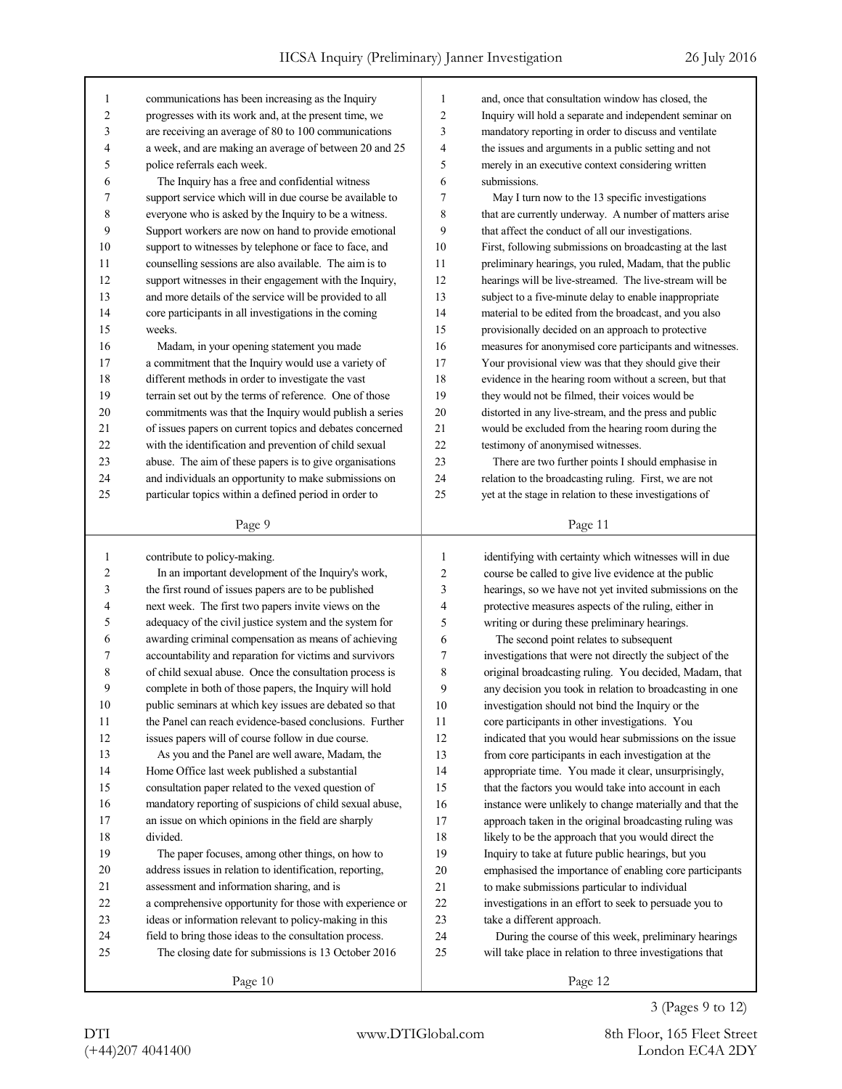| 1      | communications has been increasing as the Inquiry        | 1      | and, once that consultation window has closed, the       |
|--------|----------------------------------------------------------|--------|----------------------------------------------------------|
| 2      |                                                          | 2      | Inquiry will hold a separate and independent seminar on  |
|        | progresses with its work and, at the present time, we    |        |                                                          |
| 3      | are receiving an average of 80 to 100 communications     | 3      | mandatory reporting in order to discuss and ventilate    |
| 4      | a week, and are making an average of between 20 and 25   | 4      | the issues and arguments in a public setting and not     |
| 5      | police referrals each week.                              | 5      | merely in an executive context considering written       |
| 6      | The Inquiry has a free and confidential witness          | 6      | submissions.                                             |
| 7      | support service which will in due course be available to | 7      | May I turn now to the 13 specific investigations         |
| 8      | everyone who is asked by the Inquiry to be a witness.    | 8      | that are currently underway. A number of matters arise   |
| 9      | Support workers are now on hand to provide emotional     | 9      | that affect the conduct of all our investigations.       |
| 10     | support to witnesses by telephone or face to face, and   | 10     | First, following submissions on broadcasting at the last |
| 11     | counselling sessions are also available. The aim is to   | 11     | preliminary hearings, you ruled, Madam, that the public  |
| 12     | support witnesses in their engagement with the Inquiry,  | 12     | hearings will be live-streamed. The live-stream will be  |
| 13     | and more details of the service will be provided to all  | 13     | subject to a five-minute delay to enable inappropriate   |
| 14     | core participants in all investigations in the coming    | 14     | material to be edited from the broadcast, and you also   |
| 15     | weeks.                                                   | 15     | provisionally decided on an approach to protective       |
| 16     | Madam, in your opening statement you made                | 16     | measures for anonymised core participants and witnesses. |
| 17     | a commitment that the Inquiry would use a variety of     | 17     | Your provisional view was that they should give their    |
| 18     | different methods in order to investigate the vast       | 18     | evidence in the hearing room without a screen, but that  |
| 19     | terrain set out by the terms of reference. One of those  | 19     | they would not be filmed, their voices would be          |
| 20     | commitments was that the Inquiry would publish a series  | 20     | distorted in any live-stream, and the press and public   |
| 21     | of issues papers on current topics and debates concerned | 21     | would be excluded from the hearing room during the       |
| 22     | with the identification and prevention of child sexual   | 22     | testimony of anonymised witnesses.                       |
| 23     | abuse. The aim of these papers is to give organisations  | 23     | There are two further points I should emphasise in       |
| 24     | and individuals an opportunity to make submissions on    | 24     | relation to the broadcasting ruling. First, we are not   |
| 25     | particular topics within a defined period in order to    | 25     | yet at the stage in relation to these investigations of  |
|        |                                                          |        |                                                          |
|        | Page 9                                                   |        | Page 11                                                  |
|        |                                                          |        |                                                          |
|        |                                                          |        |                                                          |
| 1      | contribute to policy-making.                             | 1      | identifying with certainty which witnesses will in due   |
| 2      | In an important development of the Inquiry's work,       | 2      | course be called to give live evidence at the public     |
| 3      | the first round of issues papers are to be published     | 3      | hearings, so we have not yet invited submissions on the  |
| 4      | next week. The first two papers invite views on the      | 4      | protective measures aspects of the ruling, either in     |
| 5      | adequacy of the civil justice system and the system for  | 5      | writing or during these preliminary hearings.            |
| 6      | awarding criminal compensation as means of achieving     | 6      | The second point relates to subsequent                   |
| 7      | accountability and reparation for victims and survivors  | 7      | investigations that were not directly the subject of the |
| 8      | of child sexual abuse. Once the consultation process is  | 8      | original broadcasting ruling. You decided, Madam, that   |
| 9      | complete in both of those papers, the Inquiry will hold  | 9      | any decision you took in relation to broadcasting in one |
| $10\,$ | public seminars at which key issues are debated so that  | $10\,$ | investigation should not bind the Inquiry or the         |
| 11     | the Panel can reach evidence-based conclusions. Further  | 11     | core participants in other investigations. You           |
| 12     | issues papers will of course follow in due course.       | 12     | indicated that you would hear submissions on the issue   |
| 13     | As you and the Panel are well aware, Madam, the          | 13     | from core participants in each investigation at the      |
| 14     | Home Office last week published a substantial            | 14     | appropriate time. You made it clear, unsurprisingly,     |
| 15     | consultation paper related to the vexed question of      | 15     | that the factors you would take into account in each     |
| 16     | mandatory reporting of suspicions of child sexual abuse, | 16     | instance were unlikely to change materially and that the |
| 17     | an issue on which opinions in the field are sharply      | 17     | approach taken in the original broadcasting ruling was   |
| 18     | divided.                                                 | 18     | likely to be the approach that you would direct the      |
| 19     | The paper focuses, among other things, on how to         | 19     | Inquiry to take at future public hearings, but you       |
| 20     | address issues in relation to identification, reporting, | 20     | emphasised the importance of enabling core participants  |
| 21     | assessment and information sharing, and is               | 21     | to make submissions particular to individual             |
| 22     | a comprehensive opportunity for those with experience or | $22\,$ | investigations in an effort to seek to persuade you to   |
| 23     | ideas or information relevant to policy-making in this   | 23     | take a different approach.                               |
| 24     | field to bring those ideas to the consultation process.  | 24     | During the course of this week, preliminary hearings     |
| 25     | The closing date for submissions is 13 October 2016      | 25     | will take place in relation to three investigations that |
|        | Page 10                                                  |        | Page 12                                                  |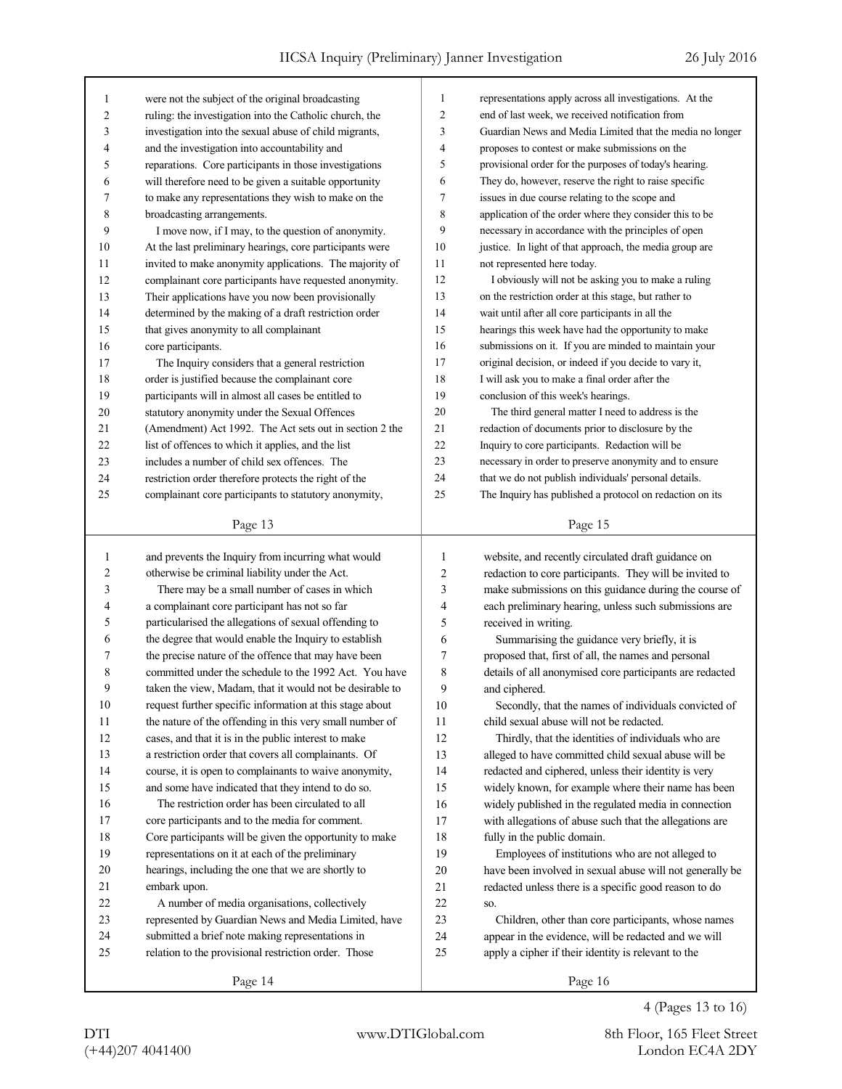| 1  | were not the subject of the original broadcasting        | 1              | representations apply across all investigations. At the  |
|----|----------------------------------------------------------|----------------|----------------------------------------------------------|
| 2  | ruling: the investigation into the Catholic church, the  | $\overline{c}$ | end of last week, we received notification from          |
| 3  | investigation into the sexual abuse of child migrants,   | 3              | Guardian News and Media Limited that the media no longer |
| 4  | and the investigation into accountability and            | 4              | proposes to contest or make submissions on the           |
| 5  | reparations. Core participants in those investigations   | 5              | provisional order for the purposes of today's hearing.   |
| 6  | will therefore need to be given a suitable opportunity   | 6              | They do, however, reserve the right to raise specific    |
| 7  | to make any representations they wish to make on the     | 7              | issues in due course relating to the scope and           |
| 8  | broadcasting arrangements.                               | 8              | application of the order where they consider this to be  |
| 9  | I move now, if I may, to the question of anonymity.      | 9              | necessary in accordance with the principles of open      |
| 10 | At the last preliminary hearings, core participants were | 10             | justice. In light of that approach, the media group are  |
| 11 | invited to make anonymity applications. The majority of  | 11             | not represented here today.                              |
| 12 | complainant core participants have requested anonymity.  | 12             | I obviously will not be asking you to make a ruling      |
| 13 | Their applications have you now been provisionally       | 13             | on the restriction order at this stage, but rather to    |
| 14 | determined by the making of a draft restriction order    | 14             | wait until after all core participants in all the        |
| 15 | that gives anonymity to all complainant                  | 15             | hearings this week have had the opportunity to make      |
| 16 | core participants.                                       | 16             | submissions on it. If you are minded to maintain your    |
| 17 | The Inquiry considers that a general restriction         | 17             | original decision, or indeed if you decide to vary it,   |
| 18 | order is justified because the complainant core          | 18             | I will ask you to make a final order after the           |
| 19 | participants will in almost all cases be entitled to     | 19             | conclusion of this week's hearings.                      |
| 20 | statutory anonymity under the Sexual Offences            | 20             | The third general matter I need to address is the        |
| 21 | (Amendment) Act 1992. The Act sets out in section 2 the  | 21             | redaction of documents prior to disclosure by the        |
| 22 | list of offences to which it applies, and the list       | 22             | Inquiry to core participants. Redaction will be          |
| 23 | includes a number of child sex offences. The             | 23             | necessary in order to preserve anonymity and to ensure   |
| 24 | restriction order therefore protects the right of the    | 24             | that we do not publish individuals' personal details.    |
| 25 | complainant core participants to statutory anonymity,    | 25             | The Inquiry has published a protocol on redaction on its |
|    |                                                          |                |                                                          |
|    | Page 13                                                  |                | Page 15                                                  |
|    |                                                          |                |                                                          |
|    |                                                          |                |                                                          |
| 1  | and prevents the Inquiry from incurring what would       | 1              | website, and recently circulated draft guidance on       |
| 2  | otherwise be criminal liability under the Act.           | 2              | redaction to core participants. They will be invited to  |
| 3  | There may be a small number of cases in which            | 3              | make submissions on this guidance during the course of   |
| 4  | a complainant core participant has not so far            | 4              | each preliminary hearing, unless such submissions are    |
| 5  | particularised the allegations of sexual offending to    | 5              | received in writing.                                     |
| 6  | the degree that would enable the Inquiry to establish    | 6              | Summarising the guidance very briefly, it is             |
| 7  | the precise nature of the offence that may have been     | 7              | proposed that, first of all, the names and personal      |
| 8  | committed under the schedule to the 1992 Act. You have   | 8              | details of all anonymised core participants are redacted |
| 9  | taken the view, Madam, that it would not be desirable to | 9              | and ciphered.                                            |
| 10 | request further specific information at this stage about | 10             | Secondly, that the names of individuals convicted of     |
| 11 | the nature of the offending in this very small number of | 11             | child sexual abuse will not be redacted.                 |
| 12 | cases, and that it is in the public interest to make     | 12             | Thirdly, that the identities of individuals who are      |
| 13 | a restriction order that covers all complainants. Of     | 13             | alleged to have committed child sexual abuse will be     |
| 14 | course, it is open to complainants to waive anonymity,   | 14             | redacted and ciphered, unless their identity is very     |
| 15 | and some have indicated that they intend to do so.       | 15             | widely known, for example where their name has been      |
| 16 | The restriction order has been circulated to all         | 16             | widely published in the regulated media in connection    |
| 17 | core participants and to the media for comment.          | 17             | with allegations of abuse such that the allegations are  |
| 18 | Core participants will be given the opportunity to make  | 18             | fully in the public domain.                              |
| 19 | representations on it at each of the preliminary         | 19             | Employees of institutions who are not alleged to         |
| 20 | hearings, including the one that we are shortly to       | 20             | have been involved in sexual abuse will not generally be |
| 21 | embark upon.                                             | 21             | redacted unless there is a specific good reason to do    |
| 22 | A number of media organisations, collectively            | 22             | SO.                                                      |
| 23 | represented by Guardian News and Media Limited, have     | 23             | Children, other than core participants, whose names      |
| 24 | submitted a brief note making representations in         | 24             | appear in the evidence, will be redacted and we will     |
| 25 | relation to the provisional restriction order. Those     | 25             | apply a cipher if their identity is relevant to the      |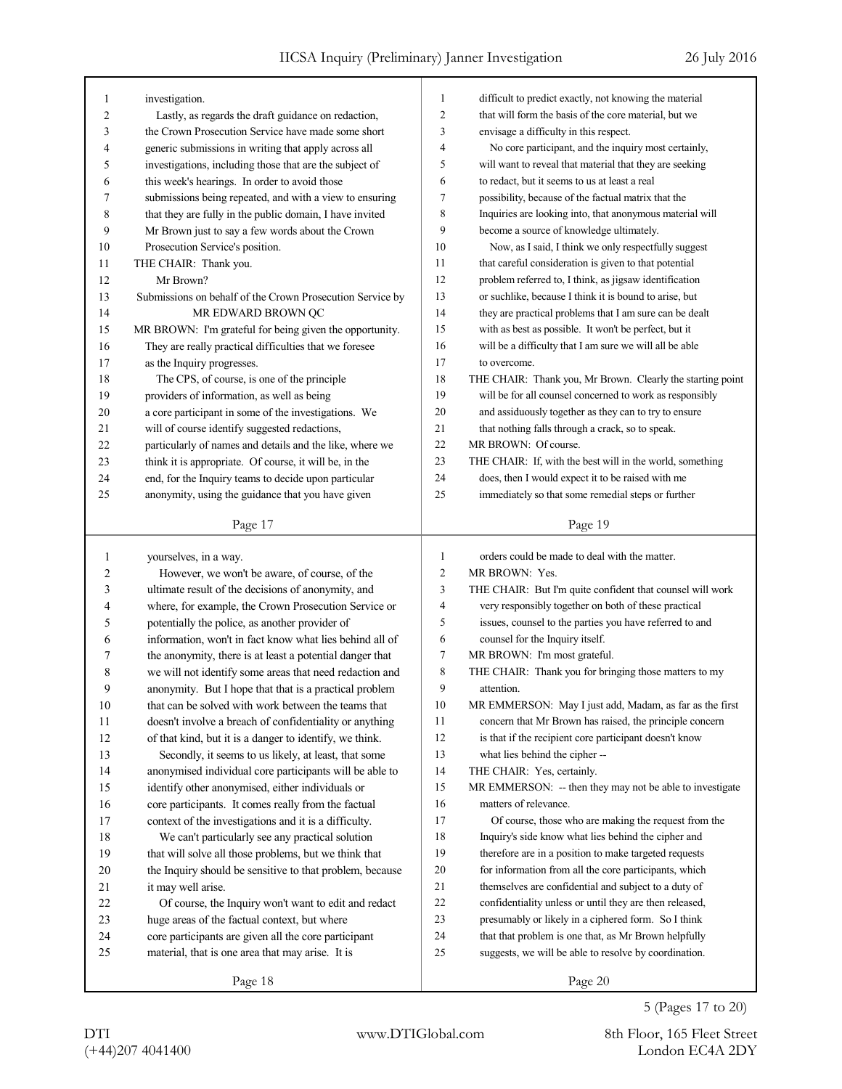| 1  | investigation.                                            | 1              | difficult to predict exactly, not knowing the material     |
|----|-----------------------------------------------------------|----------------|------------------------------------------------------------|
| 2  | Lastly, as regards the draft guidance on redaction,       | 2              | that will form the basis of the core material, but we      |
| 3  | the Crown Prosecution Service have made some short        | 3              | envisage a difficulty in this respect.                     |
| 4  | generic submissions in writing that apply across all      | 4              | No core participant, and the inquiry most certainly,       |
| 5  | investigations, including those that are the subject of   | 5              | will want to reveal that material that they are seeking    |
| 6  | this week's hearings. In order to avoid those             | 6              | to redact, but it seems to us at least a real              |
| 7  | submissions being repeated, and with a view to ensuring   | 7              | possibility, because of the factual matrix that the        |
| 8  | that they are fully in the public domain, I have invited  | 8              | Inquiries are looking into, that anonymous material will   |
| 9  | Mr Brown just to say a few words about the Crown          | 9              | become a source of knowledge ultimately.                   |
| 10 | Prosecution Service's position.                           | 10             | Now, as I said, I think we only respectfully suggest       |
| 11 | THE CHAIR: Thank you.                                     | 11             | that careful consideration is given to that potential      |
| 12 | Mr Brown?                                                 | 12             | problem referred to, I think, as jigsaw identification     |
| 13 | Submissions on behalf of the Crown Prosecution Service by | 13             | or suchlike, because I think it is bound to arise, but     |
| 14 | MR EDWARD BROWN QC                                        | 14             | they are practical problems that I am sure can be dealt    |
| 15 | MR BROWN: I'm grateful for being given the opportunity.   | 15             | with as best as possible. It won't be perfect, but it      |
| 16 | They are really practical difficulties that we foresee    | 16             | will be a difficulty that I am sure we will all be able    |
| 17 | as the Inquiry progresses.                                | 17             | to overcome.                                               |
| 18 | The CPS, of course, is one of the principle               | 18             | THE CHAIR: Thank you, Mr Brown. Clearly the starting point |
| 19 | providers of information, as well as being                | 19             | will be for all counsel concerned to work as responsibly   |
| 20 | a core participant in some of the investigations. We      | 20             | and assiduously together as they can to try to ensure      |
| 21 | will of course identify suggested redactions,             | 21             | that nothing falls through a crack, so to speak.           |
| 22 | particularly of names and details and the like, where we  | 22             | MR BROWN: Of course.                                       |
| 23 | think it is appropriate. Of course, it will be, in the    | 23             | THE CHAIR: If, with the best will in the world, something  |
| 24 | end, for the Inquiry teams to decide upon particular      | 24             | does, then I would expect it to be raised with me          |
| 25 | anonymity, using the guidance that you have given         | 25             | immediately so that some remedial steps or further         |
|    |                                                           |                |                                                            |
|    | Page 17                                                   |                | Page 19                                                    |
|    |                                                           |                |                                                            |
|    |                                                           |                |                                                            |
| 1  | yourselves, in a way.                                     | 1              | orders could be made to deal with the matter.              |
| 2  | However, we won't be aware, of course, of the             | $\overline{c}$ | MR BROWN: Yes.                                             |
| 3  | ultimate result of the decisions of anonymity, and        | 3              | THE CHAIR: But I'm quite confident that counsel will work  |
| 4  | where, for example, the Crown Prosecution Service or      | $\overline{4}$ | very responsibly together on both of these practical       |
| 5  | potentially the police, as another provider of            | 5              | issues, counsel to the parties you have referred to and    |
| 6  | information, won't in fact know what lies behind all of   | 6              | counsel for the Inquiry itself.                            |
| 7  | the anonymity, there is at least a potential danger that  | 7              | MR BROWN: I'm most grateful.                               |
| 8  | we will not identify some areas that need redaction and   | 8              | THE CHAIR: Thank you for bringing those matters to my      |
| 9  | anonymity. But I hope that that is a practical problem    | 9              | attention.                                                 |
| 10 | that can be solved with work between the teams that       | 10             | MR EMMERSON: May I just add, Madam, as far as the first    |
| 11 | doesn't involve a breach of confidentiality or anything   | 11             | concern that Mr Brown has raised, the principle concern    |
| 12 | of that kind, but it is a danger to identify, we think.   | 12             | is that if the recipient core participant doesn't know     |
| 13 | Secondly, it seems to us likely, at least, that some      | 13             | what lies behind the cipher --                             |
| 14 | anonymised individual core participants will be able to   | 14             | THE CHAIR: Yes, certainly.                                 |
| 15 | identify other anonymised, either individuals or          | 15             | MR EMMERSON: -- then they may not be able to investigate   |
| 16 | core participants. It comes really from the factual       | 16             | matters of relevance.                                      |
| 17 | context of the investigations and it is a difficulty.     | 17             | Of course, those who are making the request from the       |
| 18 | We can't particularly see any practical solution          | 18             | Inquiry's side know what lies behind the cipher and        |
| 19 | that will solve all those problems, but we think that     | 19             | therefore are in a position to make targeted requests      |
| 20 | the Inquiry should be sensitive to that problem, because  | $20\,$         | for information from all the core participants, which      |
| 21 | it may well arise.                                        | 21             | themselves are confidential and subject to a duty of       |
| 22 | Of course, the Inquiry won't want to edit and redact      | $22\,$         | confidentiality unless or until they are then released,    |
| 23 | huge areas of the factual context, but where              | 23             | presumably or likely in a ciphered form. So I think        |
| 24 | core participants are given all the core participant      | 24             | that that problem is one that, as Mr Brown helpfully       |
| 25 | material, that is one area that may arise. It is          | 25             | suggests, we will be able to resolve by coordination.      |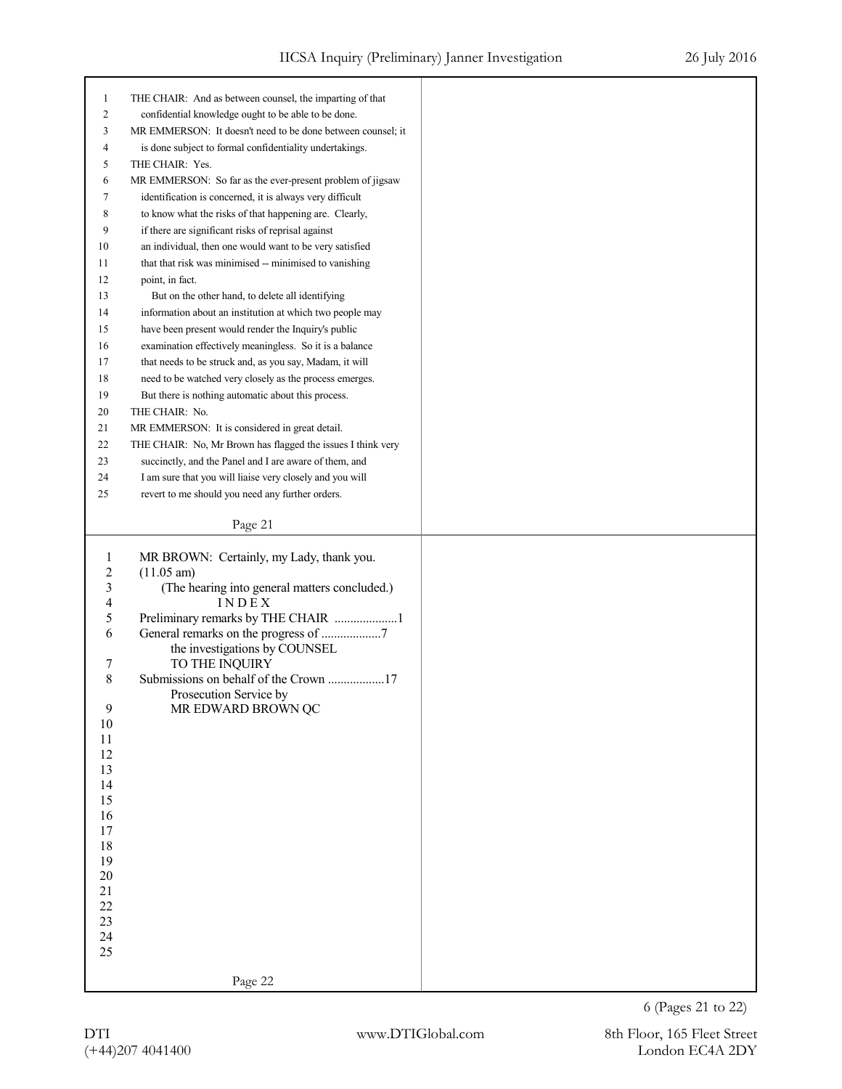| $\mathbf{1}$   | THE CHAIR: And as between counsel, the imparting of that       |
|----------------|----------------------------------------------------------------|
| $\overline{c}$ | confidential knowledge ought to be able to be done.            |
| 3              | MR EMMERSON: It doesn't need to be done between counsel; it    |
| 4              | is done subject to formal confidentiality undertakings.        |
| 5              | THE CHAIR: Yes.                                                |
| 6              | MR EMMERSON: So far as the ever-present problem of jigsaw      |
| 7              | identification is concerned, it is always very difficult       |
| 8              | to know what the risks of that happening are. Clearly,         |
| 9              | if there are significant risks of reprisal against             |
| 10             | an individual, then one would want to be very satisfied        |
| 11             | that that risk was minimised -- minimised to vanishing         |
| 12             | point, in fact.                                                |
| 13             | But on the other hand, to delete all identifying               |
| 14             | information about an institution at which two people may       |
| 15             | have been present would render the Inquiry's public            |
| 16             | examination effectively meaningless. So it is a balance        |
| 17             | that needs to be struck and, as you say, Madam, it will        |
| 18             | need to be watched very closely as the process emerges.        |
| 19             | But there is nothing automatic about this process.             |
| 20             | THE CHAIR: No.                                                 |
| 21             | MR EMMERSON: It is considered in great detail.                 |
| 22             | THE CHAIR: No, Mr Brown has flagged the issues I think very    |
| 23             | succinctly, and the Panel and I are aware of them, and         |
|                | I am sure that you will liaise very closely and you will<br>24 |
|                |                                                                |
| 25             | revert to me should you need any further orders.               |
|                | Page 21                                                        |
|                |                                                                |
|                |                                                                |
|                |                                                                |
| 1              | MR BROWN: Certainly, my Lady, thank you.                       |
| $\overline{c}$ | $(11.05 \text{ am})$                                           |
| 3<br>4         | (The hearing into general matters concluded.)<br>INDEX         |
| 5              | Preliminary remarks by THE CHAIR 1                             |
| 6              |                                                                |
|                | the investigations by COUNSEL                                  |
| 7              | TO THE INQUIRY                                                 |
| 8              | Submissions on behalf of the Crown 17                          |
|                | Prosecution Service by                                         |
| $\overline{9}$ | MR EDWARD BROWN QC                                             |
| $10\,$         |                                                                |
| $11\,$         |                                                                |
| 12             |                                                                |
| 13             |                                                                |
| 14             |                                                                |
| 15             |                                                                |
| 16             |                                                                |
| 17             |                                                                |
| 18             |                                                                |
| 19             |                                                                |
| $20\,$         |                                                                |
| 21             |                                                                |
| 22             |                                                                |
| 23             |                                                                |
| 24             |                                                                |
| 25             |                                                                |
|                | Page 22                                                        |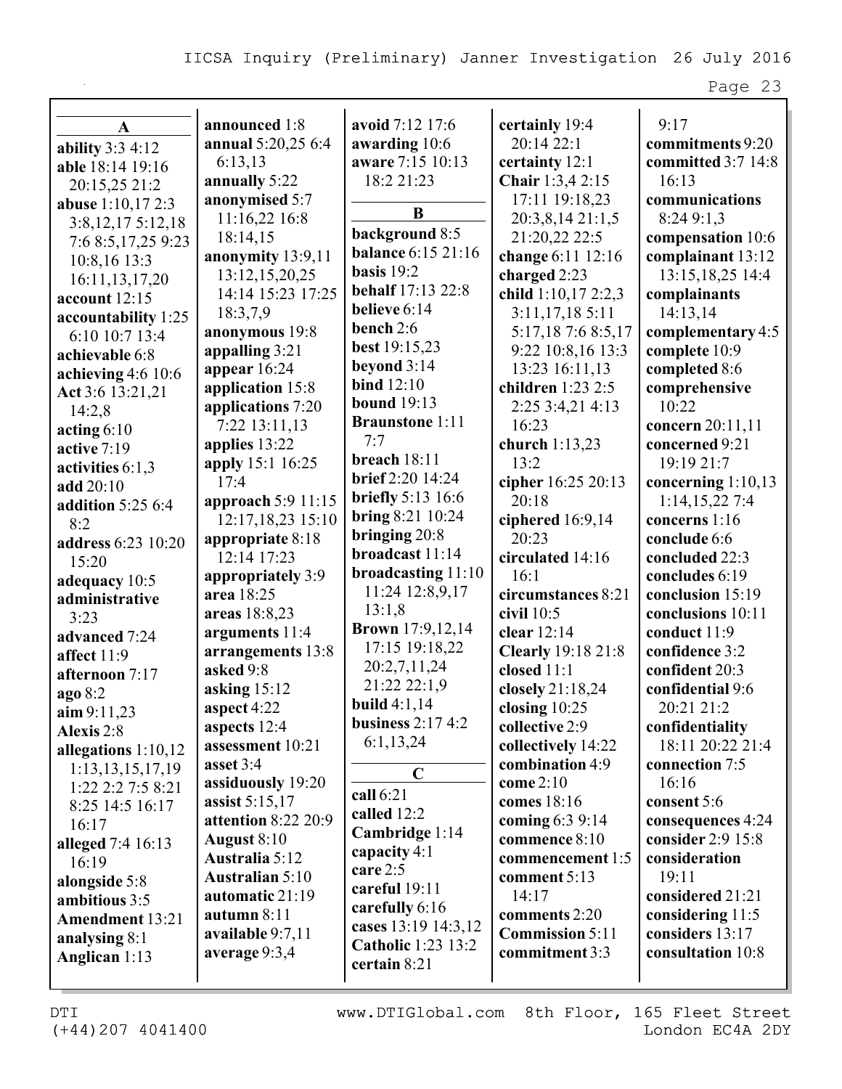| A                      | announced 1:8            | avoid 7:12 17:6           | certainly 19:4              | 9:17                               |
|------------------------|--------------------------|---------------------------|-----------------------------|------------------------------------|
|                        | annual 5:20,25 6:4       | awarding 10:6             | 20:14 22:1                  | commitments 9:20                   |
| ability $3:34:12$      | 6:13,13                  | aware 7:15 10:13          | certainty 12:1              | committed 3:7 14:8                 |
| able 18:14 19:16       | annually 5:22            | 18:2 21:23                | Chair 1:3,4 2:15            | 16:13                              |
| 20:15,25 21:2          | anonymised 5:7           |                           | 17:11 19:18,23              | communications                     |
| abuse 1:10,17 2:3      | 11:16,22 16:8            | B                         | 20:3,8,14 21:1,5            | 8:24 9:1,3                         |
| 3:8,12,175:12,18       | 18:14,15                 | background 8:5            | 21:20,22 22:5               | compensation 10:6                  |
| 7:6 8:5, 17, 25 9:23   | anonymity 13:9,11        | <b>balance 6:15 21:16</b> | change 6:11 12:16           | complainant 13:12                  |
| 10:8,16 13:3           | 13:12,15,20,25           | basis $19:2$              | charged 2:23                | 13:15,18,25 14:4                   |
| 16:11, 13, 17, 20      | 14:14 15:23 17:25        | <b>behalf</b> 17:13 22:8  | child 1:10,17 2:2,3         | complainants                       |
| account $12:15$        | 18:3,7,9                 | believe 6:14              | 3:11,17,185:11              | 14:13,14                           |
| accountability 1:25    | anonymous 19:8           | bench 2:6                 | 5:17,18 7:6 8:5,17          | complementary 4:5                  |
| 6:10 10:7 13:4         | appalling 3:21           | best 19:15,23             | 9:22 10:8,16 13:3           | complete 10:9                      |
| achievable 6:8         | appear $16:24$           | beyond 3:14               | 13:23 16:11,13              | completed 8:6                      |
| achieving $4:6$ 10:6   | application 15:8         | bind $12:10$              | children 1:23 2:5           |                                    |
| Act 3:6 13:21,21       |                          | <b>bound</b> 19:13        |                             | comprehensive<br>10:22             |
| 14:2,8                 | applications 7:20        | <b>Braunstone 1:11</b>    | 2:25 3:4,21 4:13<br>16:23   |                                    |
| acting $6:10$          | 7:22 13:11,13            | 7:7                       |                             | concern 20:11,11<br>concerned 9:21 |
| active 7:19            | applies 13:22            | breach 18:11              | church 1:13,23<br>13:2      |                                    |
| activities 6:1,3       | apply 15:1 16:25<br>17:4 | brief 2:20 14:24          |                             | 19:19 21:7                         |
| add 20:10              |                          | <b>briefly</b> 5:13 16:6  | cipher 16:25 20:13<br>20:18 | concerning $1:10,13$               |
| addition 5:25 6:4      | approach 5:9 11:15       | <b>bring 8:21 10:24</b>   |                             | 1:14,15,227:4                      |
| 8:2                    | 12:17,18,23 15:10        | bringing $20:8$           | ciphered 16:9,14            | concerns 1:16                      |
| address 6:23 10:20     | appropriate 8:18         | broadcast 11:14           | 20:23                       | conclude 6:6                       |
| 15:20                  | 12:14 17:23              | broadcasting 11:10        | circulated 14:16            | concluded 22:3                     |
| adequacy 10:5          | appropriately 3:9        | 11:24 12:8,9,17           | 16:1                        | concludes 6:19                     |
| administrative         | area 18:25               | 13:1,8                    | circumstances 8:21          | conclusion 15:19                   |
| 3:23                   | areas 18:8,23            | <b>Brown</b> 17:9,12,14   | civil $10:5$                | conclusions 10:11                  |
| advanced 7:24          | arguments 11:4           | 17:15 19:18,22            | clear 12:14                 | conduct 11:9                       |
| affect 11:9            | arrangements 13:8        | 20:2,7,11,24              | <b>Clearly</b> 19:18 21:8   | confidence 3:2                     |
| afternoon 7:17         | asked 9:8                | 21:22 22:1,9              | closed 11:1                 | confident 20:3                     |
| ago 8:2                | asking 15:12             | build $4:1,14$            | closely 21:18,24            | confidential 9:6                   |
| $\lim 9:11,23$         | aspect 4:22              | business $2:174:2$        | closing $10:25$             | 20:21 21:2                         |
| Alexis 2:8             | aspects 12:4             | 6:1,13,24                 | collective 2:9              | confidentiality                    |
| allegations $1:10,12$  | assessment 10:21         |                           | collectively 14:22          | 18:11 20:22 21:4                   |
| 1:13, 13, 15, 17, 19   | asset 3:4                | $\mathbf C$               | combination 4:9             | connection 7:5                     |
| 1:22 2:2 7:5 8:21      | assiduously 19:20        | call 6:21                 | come 2:10                   | 16:16                              |
| 8:25 14:5 16:17        | assist 5:15,17           | called 12:2               | comes 18:16                 | consent 5:6                        |
| 16:17                  | attention 8:22 20:9      | Cambridge 1:14            | coming 6:3 9:14             | consequences 4:24                  |
| alleged 7:4 16:13      | August 8:10              | capacity 4:1              | commence 8:10               | consider 2:9 15:8                  |
| 16:19                  | <b>Australia 5:12</b>    | care 2:5                  | commencement 1:5            | consideration                      |
| alongside 5:8          | <b>Australian 5:10</b>   | careful 19:11             | comment $5:13$              | 19:11                              |
| ambitious 3:5          | automatic 21:19          | carefully 6:16            | 14:17                       | considered 21:21                   |
| <b>Amendment</b> 13:21 | autumn 8:11              | cases 13:19 14:3,12       | comments 2:20               | considering 11:5                   |
| analysing 8:1          | available 9:7,11         | <b>Catholic</b> 1:23 13:2 | <b>Commission 5:11</b>      | considers 13:17                    |
| Anglican 1:13          | average 9:3,4            | certain 8:21              | commitment 3:3              | consultation 10:8                  |
|                        |                          |                           |                             |                                    |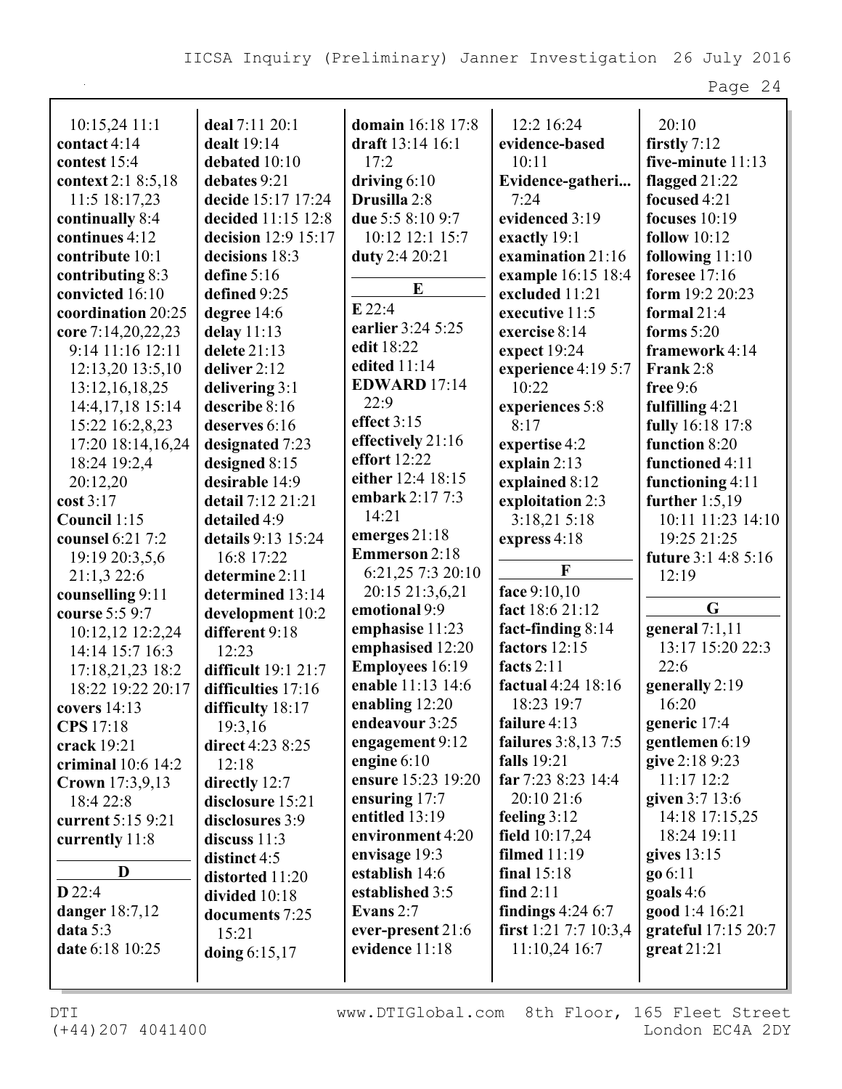| $10:15,24$ 11:1      | deal 7:11 20:1      | domain 16:18 17:8      | 12:2 16:24                 | 20:10                      |
|----------------------|---------------------|------------------------|----------------------------|----------------------------|
| contact 4:14         | dealt 19:14         | draft 13:14 16:1       | evidence-based             | firstly $7:12$             |
| contest 15:4         | debated 10:10       | 17:2                   | 10:11                      | five-minute 11:13          |
| context 2:1 8:5,18   | debates 9:21        | driving $6:10$         | Evidence-gatheri           | flagged 21:22              |
| 11:5 18:17,23        | decide 15:17 17:24  | Drusilla 2:8           | 7:24                       | focused 4:21               |
| continually 8:4      | decided 11:15 12:8  | due 5:5 8:10 9:7       | evidenced 3:19             | focuses $10:19$            |
| continues 4:12       | decision 12:9 15:17 | 10:12 12:1 15:7        | exactly 19:1               | follow $10:12$             |
| contribute 10:1      | decisions 18:3      | duty 2:4 20:21         | examination 21:16          | following $11:10$          |
| contributing 8:3     | define 5:16         | E                      | example 16:15 18:4         | foresee $17:16$            |
| convicted 16:10      | defined 9:25        |                        | excluded 11:21             | form 19:2 20:23            |
| coordination 20:25   | degree 14:6         | $E$ 22:4               | executive 11:5             | formal $21:4$              |
| core 7:14,20,22,23   | delay $11:13$       | earlier 3:24 5:25      | exercise 8:14              | forms $5:20$               |
| 9:14 11:16 12:11     | delete 21:13        | edit 18:22             | expect $19:24$             | framework 4:14             |
| 12:13,20 13:5,10     | deliver 2:12        | edited 11:14           | experience 4:19 5:7        | Frank 2:8                  |
| 13:12, 16, 18, 25    | delivering 3:1      | <b>EDWARD</b> 17:14    | 10:22                      | free $9:6$                 |
| 14:4, 17, 18 15:14   | describe 8:16       | 22:9                   | experiences 5:8            | fulfilling 4:21            |
| 15:22 16:2,8,23      | deserves 6:16       | effect 3:15            | 8:17                       | fully 16:18 17:8           |
| 17:20 18:14,16,24    | designated 7:23     | effectively 21:16      | expertise 4:2              | function 8:20              |
| 18:24 19:2,4         | designed 8:15       | effort 12:22           | explain $2:13$             | functioned 4:11            |
| 20:12,20             | desirable 14:9      | either 12:4 18:15      | explained 8:12             | functioning 4:11           |
| cost 3:17            | detail 7:12 21:21   | embark 2:17 7:3        | exploitation 2:3           | further $1:5,19$           |
| Council 1:15         | detailed 4:9        | 14:21                  | 3:18,215:18                | 10:11 11:23 14:10          |
| counsel 6:21 7:2     | details 9:13 15:24  | emerges 21:18          | express 4:18               | 19:25 21:25                |
| 19:19 20:3,5,6       | 16:8 17:22          | <b>Emmerson 2:18</b>   |                            | <b>future 3:1 4:8 5:16</b> |
| 21:1,3 22:6          | determine 2:11      | 6:21,25 7:3 20:10      | F                          | 12:19                      |
| counselling 9:11     | determined 13:14    | 20:15 21:3,6,21        | face 9:10,10               |                            |
| course 5:5 9:7       | development 10:2    | emotional 9:9          | fact 18:6 21:12            | G                          |
| 10:12,12 12:2,24     | different 9:18      | emphasise 11:23        | fact-finding $8:14$        | general $7:1,11$           |
| 14:14 15:7 16:3      | 12:23               | emphasised 12:20       | factors 12:15              | 13:17 15:20 22:3           |
| 17:18,21,23 18:2     | difficult 19:1 21:7 | <b>Employees</b> 16:19 | facts $2:11$               | 22:6                       |
| 18:22 19:22 20:17    | difficulties 17:16  | enable 11:13 14:6      | factual 4:24 18:16         | generally 2:19             |
| covers $14:13$       | difficulty 18:17    | enabling 12:20         | 18:23 19:7                 | 16:20                      |
| <b>CPS</b> 17:18     | 19:3,16             | endeavour 3:25         | failure 4:13               | generic 17:4               |
| crack 19:21          | direct 4:23 8:25    | engagement 9:12        | <b>failures</b> 3:8,13 7:5 | gentlemen 6:19             |
| criminal $10:6$ 14:2 | 12:18               | engine $6:10$          | <b>falls</b> 19:21         | give 2:18 9:23             |
| Crown 17:3,9,13      | directly 12:7       | ensure 15:23 19:20     | far 7:23 8:23 14:4         | 11:17 12:2                 |
| 18:4 22:8            | disclosure 15:21    | ensuring 17:7          | 20:10 21:6                 | given 3:7 13:6             |
| current 5:15 9:21    | disclosures 3:9     | entitled 13:19         | feeling $3:12$             | 14:18 17:15,25             |
| currently 11:8       | discuss 11:3        | environment 4:20       | field $10:17,24$           | 18:24 19:11                |
|                      | distinct 4:5        | envisage 19:3          | filmed $11:19$             | gives $13:15$              |
| D                    | distorted 11:20     | establish 14:6         | final $15:18$              | go 6:11                    |
| $D$ 22:4             | divided 10:18       | established 3:5        | find $2:11$                | goals 4:6                  |
| danger 18:7,12       | documents 7:25      | Evans $2:7$            | findings $4:246:7$         | good 1:4 16:21             |
| data $5:3$           | 15:21               | ever-present 21:6      | first 1:21 7:7 10:3,4      | grateful 17:15 20:7        |
| date 6:18 10:25      | doing 6:15,17       | evidence 11:18         | $11:10,24$ 16:7            | great $21:21$              |
|                      |                     |                        |                            |                            |
|                      |                     |                        |                            |                            |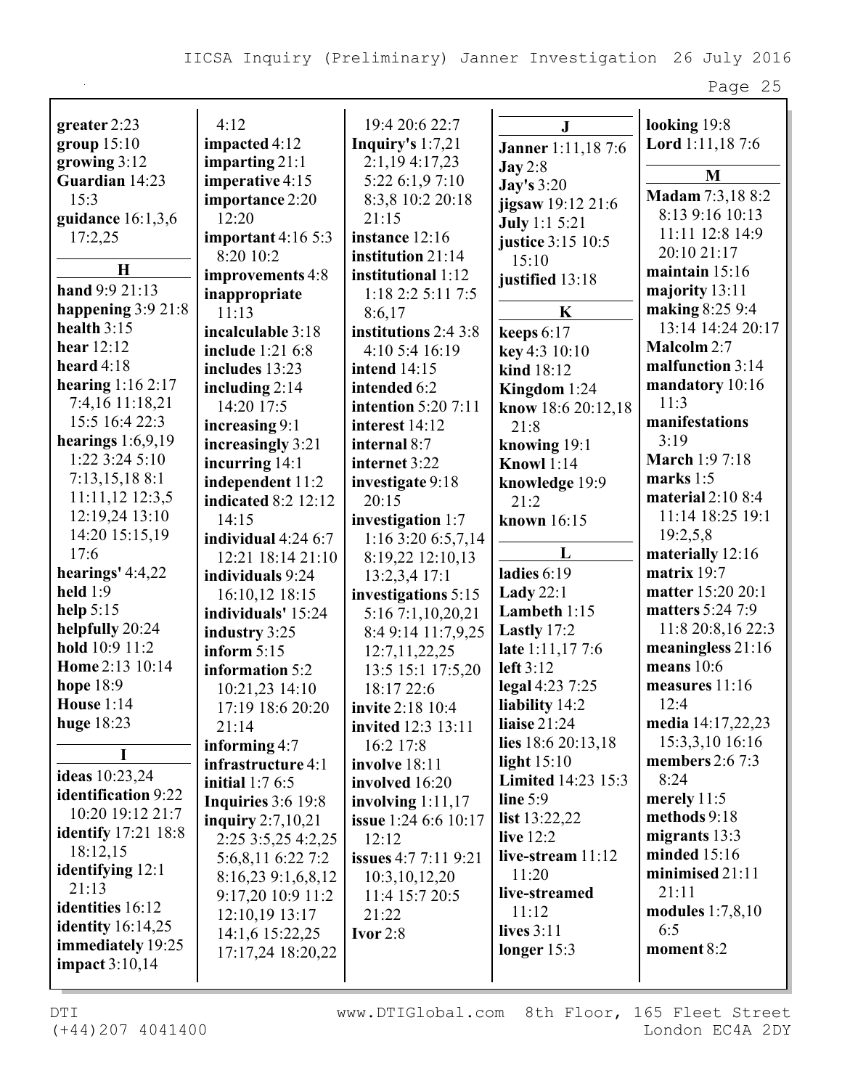| greater 2:23               | 4:12                       | 19:4 20:6 22:7              | $\mathbf{J}$                              | looking 19:8                        |
|----------------------------|----------------------------|-----------------------------|-------------------------------------------|-------------------------------------|
| group $15:10$              | impacted 4:12              | Inquiry's $1:7,21$          |                                           | Lord 1:11,18 7:6                    |
| growing 3:12               | imparting $21:1$           | 2:1,194:17,23               | <b>Janner</b> 1:11,18 7:6                 |                                     |
| Guardian 14:23             | imperative 4:15            | 5:22 6:1,9 7:10             | $\text{Jay } 2:8$                         | M                                   |
| 15:3                       | importance 2:20            | 8:3,8 10:2 20:18            | <b>Jay's</b> 3:20                         | Madam 7:3,18 8:2                    |
| guidance 16:1,3,6          | 12:20                      | 21:15                       | jigsaw 19:12 21:6<br><b>July</b> 1:1 5:21 | 8:13 9:16 10:13                     |
| 17:2,25                    | important $4:165:3$        | instance 12:16              | justice 3:15 10:5                         | 11:11 12:8 14:9                     |
|                            | 8:20 10:2                  | institution 21:14           | 15:10                                     | 20:10 21:17                         |
| $\bf H$                    | improvements 4:8           | institutional 1:12          | justified 13:18                           | maintain $15:16$                    |
| hand 9:9 21:13             | inappropriate              | 1:182:25:117:5              |                                           | majority 13:11                      |
| happening $3:921:8$        | 11:13                      | 8:6,17                      | $\mathbf K$                               | making 8:25 9:4                     |
| health $3:15$              | incalculable 3:18          | institutions 2:4 3:8        | keeps $6:17$                              | 13:14 14:24 20:17                   |
| hear $12:12$               | include 1:21 6:8           | 4:10 5:4 16:19              | key 4:3 10:10                             | Malcolm 2:7                         |
| heard $4:18$               | includes 13:23             | <b>intend</b> 14:15         | kind 18:12                                | malfunction 3:14                    |
| hearing $1:162:17$         | including $2:14$           | intended 6:2                | Kingdom 1:24                              | mandatory 10:16                     |
| 7:4,16 11:18,21            | 14:20 17:5                 | <b>intention</b> 5:20 7:11  | know 18:6 20:12,18                        | 11:3                                |
| 15:5 16:4 22:3             | increasing 9:1             | interest 14:12              | 21:8                                      | manifestations                      |
| hearings $1:6,9,19$        | increasingly 3:21          | internal 8:7                | knowing 19:1                              | 3:19                                |
| $1:22$ 3:24 5:10           | incurring 14:1             | internet 3:22               | <b>Knowl</b> 1:14                         | <b>March 1:9 7:18</b>               |
| 7:13,15,188:1              | independent 11:2           | investigate 9:18            | knowledge 19:9                            | marks $1:5$                         |
| 11:11,12 12:3,5            | <b>indicated 8:2 12:12</b> | 20:15                       | 21:2                                      | material $2:108:4$                  |
| 12:19,24 13:10             | 14:15                      | investigation 1:7           | known 16:15                               | 11:14 18:25 19:1                    |
| 14:20 15:15,19             | individual 4:24 6:7        | $1:16$ 3:20 6:5,7,14        |                                           | 19:2,5,8                            |
| 17:6                       | 12:21 18:14 21:10          | 8:19,22 12:10,13            | L                                         | materially 12:16                    |
| hearings' $4:4,22$         | individuals 9:24           | $13:2,3,4$ 17:1             | ladies 6:19                               | matrix 19:7                         |
| held $1:9$                 | 16:10,12 18:15             | investigations 5:15         | Lady $22:1$                               | matter 15:20 20:1                   |
| help $5:15$                | individuals' 15:24         | 5:16 7:1,10,20,21           | Lambeth 1:15                              | matters 5:24 7:9                    |
| helpfully 20:24            | industry 3:25              | 8:4 9:14 11:7,9,25          | Lastly 17:2                               | 11:8 20:8,16 22:3                   |
| hold 10:9 11:2             | inform $5:15$              | 12:7, 11, 22, 25            | late 1:11,177:6                           | meaningless 21:16                   |
| Home 2:13 10:14            | information 5:2            | 13:5 15:1 17:5,20           | left $3:12$                               | means $10:6$                        |
| hope 18:9                  | 10:21,23 14:10             | 18:17 22:6                  | legal 4:23 7:25                           | measures 11:16                      |
| House $1:14$               | 17:19 18:6 20:20           | <b>invite 2:18 10:4</b>     | liability 14:2                            | 12:4                                |
| huge $18:23$               | 21:14                      | <b>invited</b> 12:3 13:11   | liaise $21:24$                            | media 14:17,22,23                   |
|                            | informing $4:7$            | 16:2 17:8                   | lies 18:6 20:13,18                        | 15:3,3,10 16:16                     |
| <b>ideas</b> 10:23,24      | infrastructure 4:1         | involve 18:11               | light $15:10$                             | members $2:67:3$<br>8:24            |
| identification 9:22        | initial $1:76:5$           | involved 16:20              | <b>Limited</b> 14:23 15:3                 |                                     |
| 10:20 19:12 21:7           | Inquiries 3:6 19:8         | involving $1:11,17$         | line $5:9$                                | merely $11:5$<br>methods 9:18       |
| <b>identify</b> 17:21 18:8 | inquiry $2:7,10,21$        | <b>issue</b> 1:24 6:6 10:17 | list $13:22,22$                           |                                     |
| 18:12,15                   | 2:25 3:5,25 4:2,25         | 12:12                       | live 12:2                                 | migrants 13:3                       |
| identifying 12:1           | 5:6,8,11 6:22 7:2          | issues 4:7 7:11 9:21        | live-stream $11:12$                       | minded $15:16$<br>minimised $21:11$ |
| 21:13                      | 8:16,23 9:1,6,8,12         | 10:3,10,12,20               | 11:20                                     | 21:11                               |
| identities 16:12           | 9:17,20 10:9 11:2          | 11:4 15:7 20:5              | live-streamed                             |                                     |
| identity $16:14,25$        | 12:10,19 13:17             | 21:22                       | 11:12                                     | modules $1:7,8,10$<br>6:5           |
| immediately 19:25          | 14:1,6 15:22,25            | Ivor $2:8$                  | lives $3:11$                              | moment 8:2                          |
| impact $3:10,14$           | 17:17,24 18:20,22          |                             | longer $15:3$                             |                                     |
|                            |                            |                             |                                           |                                     |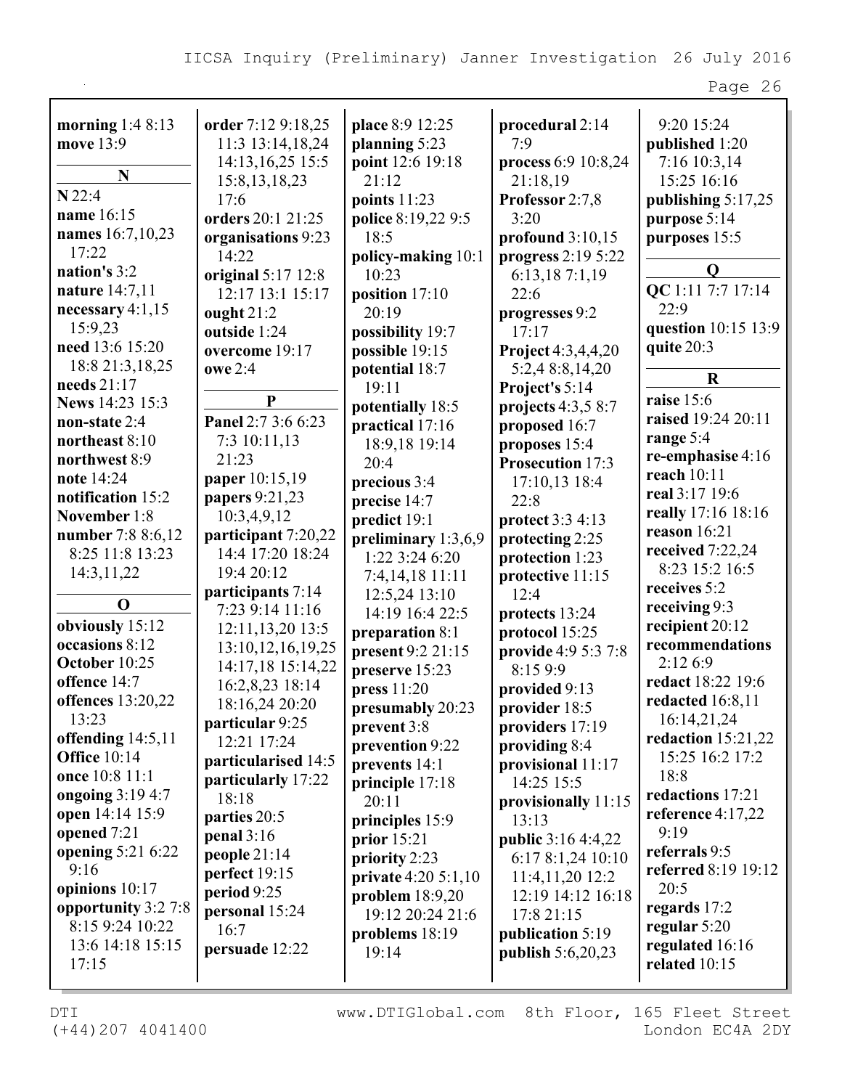| morning $1:48:13$   | order 7:12 9:18,25    | place 8:9 12:25     | procedural 2:14           | 9:20 15:24           |
|---------------------|-----------------------|---------------------|---------------------------|----------------------|
| move 13:9           | 11:3 13:14,18,24      | planning 5:23       | 7:9                       | published 1:20       |
|                     | 14:13, 16, 25 15:5    | point 12:6 19:18    | process 6:9 10:8,24       | 7:16 10:3,14         |
| N                   | 15:8, 13, 18, 23      | 21:12               | 21:18,19                  | 15:25 16:16          |
| $N$ 22:4            | 17:6                  | points $11:23$      | Professor 2:7,8           | publishing 5:17,25   |
| name 16:15          | orders 20:1 21:25     | police 8:19,22 9:5  | 3:20                      | purpose 5:14         |
| names 16:7,10,23    | organisations 9:23    | 18:5                | profound $3:10,15$        | purposes 15:5        |
| 17:22               | 14:22                 | policy-making 10:1  | progress 2:19 5:22        |                      |
| nation's 3:2        | original 5:17 12:8    | 10:23               | 6:13,187:1,19             | $\mathbf 0$          |
| nature 14:7,11      | 12:17 13:1 15:17      | position 17:10      | 22:6                      | QC 1:11 7:7 17:14    |
| necessary $4:1,15$  | ought $21:2$          | 20:19               | progresses 9:2            | 22:9                 |
| 15:9,23             | outside 1:24          | possibility 19:7    | 17:17                     | question 10:15 13:9  |
| need 13:6 15:20     | overcome 19:17        | possible 19:15      | Project 4:3,4,4,20        | quite 20:3           |
| 18:8 21:3, 18, 25   | owe 2:4               | potential 18:7      | 5:2,4 8:8,14,20           |                      |
| needs 21:17         |                       | 19:11               | Project's 5:14            | $\mathbf R$          |
| News 14:23 15:3     | ${\bf P}$             | potentially 18:5    | projects $4:3,58:7$       | raise 15:6           |
| non-state 2:4       | Panel 2:7 3:6 6:23    | practical 17:16     | proposed 16:7             | raised 19:24 20:11   |
| northeast 8:10      | 7:3 10:11,13          | 18:9,18 19:14       | proposes 15:4             | range 5:4            |
| northwest 8:9       | 21:23                 | 20:4                | Prosecution 17:3          | re-emphasise 4:16    |
| note 14:24          | paper 10:15,19        | precious 3:4        | 17:10,13 18:4             | reach 10:11          |
| notification 15:2   | papers 9:21,23        | precise 14:7        | 22:8                      | real 3:17 19:6       |
| November 1:8        | 10:3,4,9,12           | predict 19:1        | protect 3:3 4:13          | really 17:16 18:16   |
| number 7:8 8:6,12   | participant 7:20,22   | preliminary 1:3,6,9 | protecting 2:25           | reason 16:21         |
| 8:25 11:8 13:23     | 14:4 17:20 18:24      | 1:22 3:24 6:20      | protection 1:23           | received 7:22,24     |
| 14:3,11,22          | 19:4 20:12            | 7:4,14,18 11:11     | protective 11:15          | 8:23 15:2 16:5       |
|                     | participants 7:14     | 12:5,24 13:10       | 12:4                      | receives 5:2         |
| $\mathbf 0$         | 7:23 9:14 11:16       | 14:19 16:4 22:5     | protects 13:24            | receiving 9:3        |
| obviously 15:12     | 12:11,13,20 13:5      | preparation 8:1     | protocol 15:25            | recipient 20:12      |
| occasions 8:12      | 13:10, 12, 16, 19, 25 | present 9:2 21:15   | provide 4:9 5:3 7:8       | recommendations      |
| October 10:25       | 14:17,18 15:14,22     |                     | 8:15 9:9                  | 2:12 6:9             |
| offence 14:7        | 16:2,8,23 18:14       | preserve 15:23      |                           | redact 18:22 19:6    |
| offences 13:20,22   | 18:16,24 20:20        | press 11:20         | provided 9:13             | redacted 16:8,11     |
| 13:23               | particular 9:25       | presumably 20:23    | provider 18:5             | 16:14,21,24          |
| offending $14:5,11$ | 12:21 17:24           | prevent 3:8         | providers 17:19           | redaction $15:21,22$ |
| <b>Office 10:14</b> | particularised 14:5   | prevention 9:22     | providing 8:4             | 15:25 16:2 17:2      |
| once 10:8 11:1      | particularly 17:22    | prevents 14:1       | provisional 11:17         | 18:8                 |
| ongoing 3:19 4:7    | 18:18                 | principle 17:18     | 14:25 15:5                | redactions 17:21     |
| open 14:14 15:9     |                       | 20:11               | provisionally 11:15       | reference 4:17,22    |
| opened 7:21         | parties 20:5          | principles 15:9     | 13:13                     | 9:19                 |
| opening 5:21 6:22   | penal $3:16$          | prior $15:21$       | <b>public</b> 3:16 4:4,22 | referrals 9:5        |
| 9:16                | people $21:14$        | priority 2:23       | 6:17 8:1,24 10:10         | referred 8:19 19:12  |
| opinions 10:17      | perfect 19:15         | private 4:20 5:1,10 | 11:4,11,20 12:2           | 20:5                 |
| opportunity 3:2 7:8 | period 9:25           | problem $18:9,20$   | 12:19 14:12 16:18         | regards 17:2         |
| 8:15 9:24 10:22     | personal 15:24        | 19:12 20:24 21:6    | 17:8 21:15                | regular 5:20         |
| 13:6 14:18 15:15    | 16:7                  | problems $18:19$    | publication 5:19          | regulated 16:16      |
| 17:15               | persuade 12:22        | 19:14               | publish 5:6,20,23         | related 10:15        |
|                     |                       |                     |                           |                      |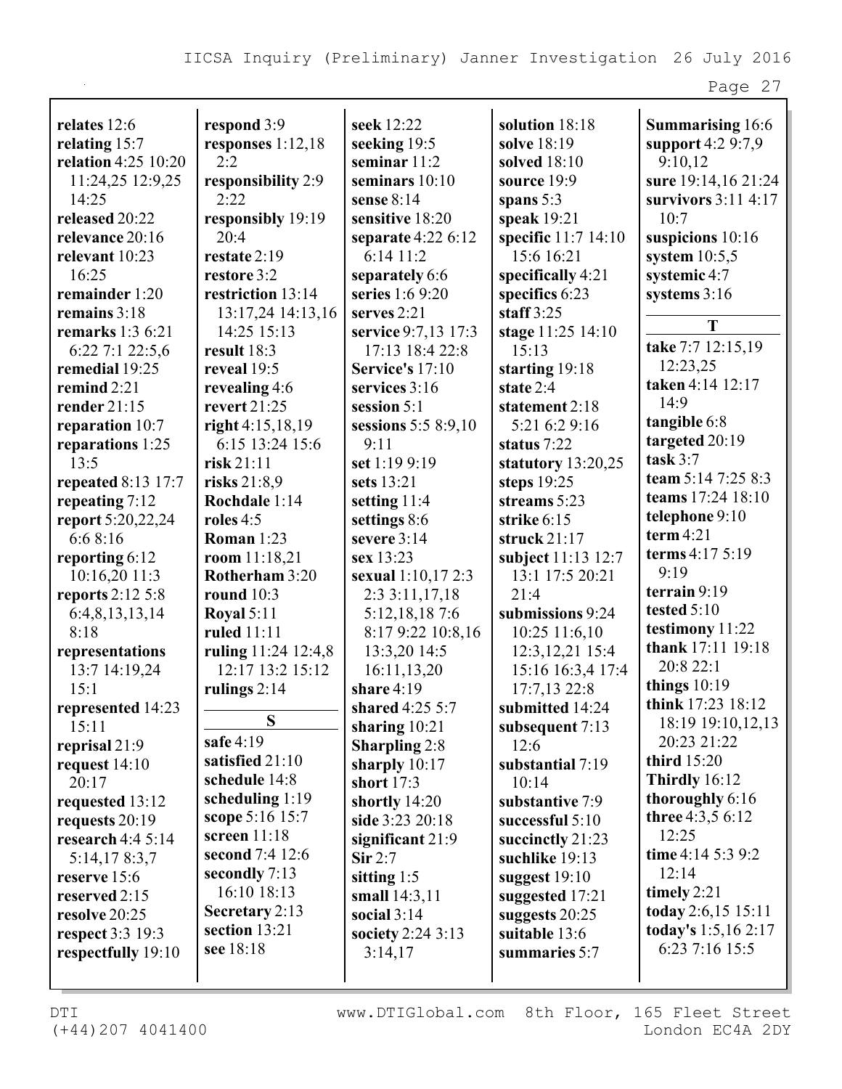| relates 12:6               | respond 3:9                      | seek 12:22           | solution 18:18       | <b>Summarising 16:6</b>          |
|----------------------------|----------------------------------|----------------------|----------------------|----------------------------------|
| relating 15:7              | responses $1:12,18$              | seeking 19:5         | solve 18:19          | support 4:2 9:7,9                |
| <b>relation</b> 4:25 10:20 | 2:2                              | seminar $11:2$       | solved 18:10         | 9:10,12                          |
| 11:24,25 12:9,25           | responsibility 2:9               | seminars $10:10$     | source 19:9          | sure 19:14,16 21:24              |
| 14:25                      | 2:22                             | sense $8:14$         | spans $5:3$          | survivors $3:11$ 4:17            |
| released 20:22             | responsibly 19:19                | sensitive 18:20      | speak 19:21          | 10:7                             |
| relevance 20:16            | 20:4                             | separate $4:226:12$  | specific 11:7 14:10  | suspicions 10:16                 |
| relevant 10:23             | restate 2:19                     | 6:1411:2             | 15:6 16:21           | system $10:5,5$                  |
| 16:25                      | restore 3:2                      | separately 6:6       | specifically 4:21    | systemic 4:7                     |
| remainder 1:20             | restriction 13:14                | series 1:6 9:20      | specifics 6:23       | systems $3:16$                   |
| remains 3:18               | 13:17,24 14:13,16                | serves 2:21          | staff $3:25$         |                                  |
| remarks $1:36:21$          | 14:25 15:13                      | service 9:7,13 17:3  | stage 11:25 14:10    | T                                |
| $6:22$ 7:1 22:5,6          | result 18:3                      | 17:13 18:4 22:8      | 15:13                | take 7:7 12:15,19                |
| remedial 19:25             | reveal 19:5                      | Service's 17:10      | starting $19:18$     | 12:23,25                         |
| remind $2:21$              | revealing 4:6                    | services 3:16        | state $2:4$          | taken 4:14 12:17                 |
| render $21:15$             | revert $21:25$                   | session $5:1$        | statement 2:18       | 14:9                             |
| reparation 10:7            | right 4:15,18,19                 | sessions 5:5 8:9,10  | 5:21 6:2 9:16        | tangible 6:8                     |
| reparations 1:25           | 6:15 13:24 15:6                  | 9:11                 | status 7:22          | targeted 20:19                   |
| 13:5                       | risk 21:11                       | set 1:19 9:19        | statutory $13:20,25$ | task $3:7$                       |
| repeated 8:13 17:7         | risks $21:8,9$                   | sets 13:21           | steps 19:25          | team 5:14 7:25 8:3               |
| repeating 7:12             | Rochdale 1:14                    | setting 11:4         | streams 5:23         | teams 17:24 18:10                |
| report 5:20,22,24          | roles $4:5$                      | settings 8:6         | strike 6:15          | telephone 9:10                   |
| 6:6 8:16                   | <b>Roman</b> 1:23                | severe 3:14          | struck $21:17$       | term $4:21$                      |
| reporting 6:12             | room $11:18,21$                  | sex 13:23            | subject 11:13 12:7   | terms 4:17 5:19                  |
| 10:16,20 11:3              | Rotherham 3:20                   | sexual 1:10,17 2:3   | 13:1 17:5 20:21      | 9:19                             |
| reports 2:12 5:8           | round $10:3$                     | 2:33:11,17,18        | 21:4                 | terrain $9:19$                   |
|                            |                                  | 5:12,18,187:6        | submissions 9:24     | tested 5:10                      |
| 6:4,8,13,13,14<br>8:18     | <b>Royal 5:11</b><br>ruled 11:11 |                      |                      | testimony 11:22                  |
|                            |                                  | 8:17 9:22 10:8,16    | 10:25 11:6,10        | thank 17:11 19:18                |
| representations            | ruling 11:24 12:4,8              | 13:3,20 14:5         | 12:3, 12, 21 15:4    | 20:8 22:1                        |
| 13:7 14:19,24              | 12:17 13:2 15:12                 | 16:11,13,20          | 15:16 16:3,4 17:4    | things $10:19$                   |
| 15:1                       | rulings $2:14$                   | share $4:19$         | 17:7,13 22:8         | think 17:23 18:12                |
| represented 14:23          | S                                | shared 4:25 5:7      | submitted 14:24      |                                  |
| 15:11                      | safe $4:19$                      | sharing $10:21$      | subsequent 7:13      | 18:19 19:10,12,13<br>20:23 21:22 |
| reprisal 21:9              |                                  | <b>Sharpling 2:8</b> | 12:6                 |                                  |
| request $14:10$            | satisfied 21:10                  | sharply $10:17$      | substantial 7:19     | third 15:20                      |
| 20:17                      | schedule 14:8                    | short 17:3           | 10:14                | Thirdly $16:12$                  |
| requested 13:12            | scheduling $1:19$                | shortly 14:20        | substantive 7:9      | thoroughly 6:16                  |
| requests 20:19             | scope 5:16 15:7                  | side 3:23 20:18      | successful 5:10      | three 4:3,5 6:12                 |
| research $4:45:14$         | screen $11:18$                   | significant 21:9     | succinctly 21:23     | 12:25                            |
| 5:14,178:3,7               | second 7:4 12:6                  | $\textbf{Sir } 2:7$  | suchlike 19:13       | time 4:14 5:3 9:2                |
| reserve 15:6               | secondly 7:13                    | sitting $1:5$        | suggest $19:10$      | 12:14                            |
| reserved 2:15              | 16:10 18:13                      | small $14:3,11$      | suggested 17:21      | timely 2:21                      |
| resolve 20:25              | Secretary 2:13                   | social $3:14$        | suggests 20:25       | today 2:6,15 15:11               |
| respect 3:3 19:3           | section 13:21                    | society 2:24 3:13    | suitable 13:6        | today's 1:5,16 2:17              |
| respectfully 19:10         | see 18:18                        | 3:14,17              | summaries 5:7        | 6:23 7:16 15:5                   |
|                            |                                  |                      |                      |                                  |
|                            |                                  |                      |                      |                                  |